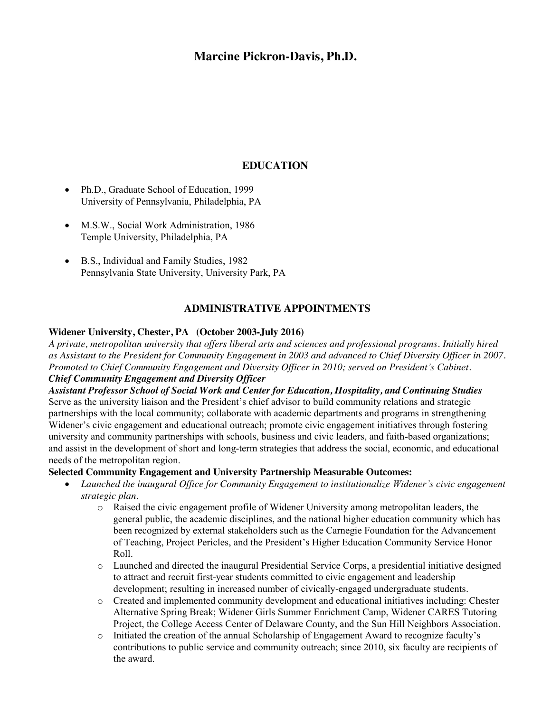## **Marcine Pickron-Davis, Ph.D.**

## **EDUCATION**

- Ph.D., Graduate School of Education, 1999 University of Pennsylvania, Philadelphia, PA
- M.S.W., Social Work Administration, 1986 Temple University, Philadelphia, PA
- B.S., Individual and Family Studies, 1982 Pennsylvania State University, University Park, PA

## **ADMINISTRATIVE APPOINTMENTS**

#### **Widener University, Chester, PA (October 2003-July 2016)**

*A private, metropolitan university that offers liberal arts and sciences and professional programs. Initially hired as Assistant to the President for Community Engagement in 2003 and advanced to Chief Diversity Officer in 2007. Promoted to Chief Community Engagement and Diversity Officer in 2010; served on President's Cabinet.*

# *Chief Community Engagement and Diversity Officer*

*Assistant Professor School of Social Work and Center for Education, Hospitality, and Continuing Studies* Serve as the university liaison and the President's chief advisor to build community relations and strategic partnerships with the local community; collaborate with academic departments and programs in strengthening Widener's civic engagement and educational outreach; promote civic engagement initiatives through fostering university and community partnerships with schools, business and civic leaders, and faith-based organizations; and assist in the development of short and long-term strategies that address the social, economic, and educational needs of the metropolitan region.

#### **Selected Community Engagement and University Partnership Measurable Outcomes:**

- x *Launched the inaugural Office for Community Engagement to institutionalize Widener's civic engagement strategic plan*.
	- o Raised the civic engagement profile of Widener University among metropolitan leaders, the general public, the academic disciplines, and the national higher education community which has been recognized by external stakeholders such as the Carnegie Foundation for the Advancement of Teaching, Project Pericles, and the President's Higher Education Community Service Honor Roll.
	- o Launched and directed the inaugural Presidential Service Corps, a presidential initiative designed to attract and recruit first-year students committed to civic engagement and leadership development; resulting in increased number of civically-engaged undergraduate students.
	- o Created and implemented community development and educational initiatives including: Chester Alternative Spring Break; Widener Girls Summer Enrichment Camp, Widener CARES Tutoring Project, the College Access Center of Delaware County, and the Sun Hill Neighbors Association.
	- o Initiated the creation of the annual Scholarship of Engagement Award to recognize faculty's contributions to public service and community outreach; since 2010, six faculty are recipients of the award.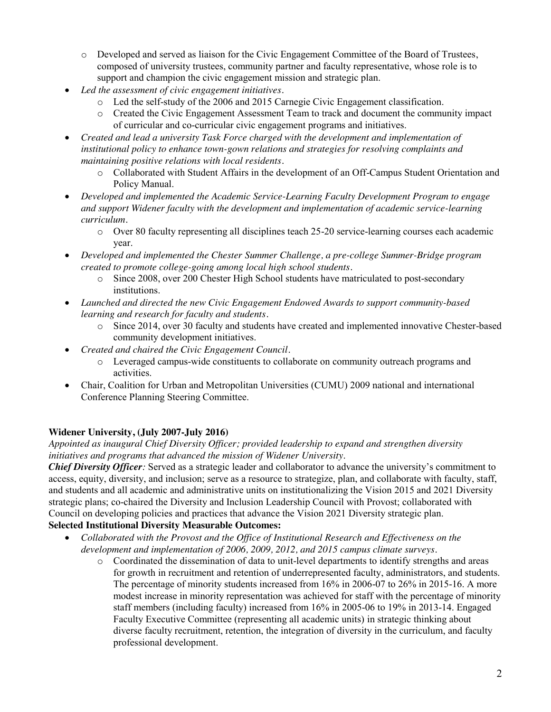- o Developed and served as liaison for the Civic Engagement Committee of the Board of Trustees, composed of university trustees, community partner and faculty representative, whose role is to support and champion the civic engagement mission and strategic plan.
- x *Led the assessment of civic engagement initiatives.*
	- o Led the self-study of the 2006 and 2015 Carnegie Civic Engagement classification.
	- o Created the Civic Engagement Assessment Team to track and document the community impact of curricular and co-curricular civic engagement programs and initiatives.
- x *Created and lead a university Task Force charged with the development and implementation of institutional policy to enhance town-gown relations and strategies for resolving complaints and maintaining positive relations with local residents.*
	- o Collaborated with Student Affairs in the development of an Off-Campus Student Orientation and Policy Manual.
- x *Developed and implemented the Academic Service-Learning Faculty Development Program to engage and support Widener faculty with the development and implementation of academic service-learning curriculum.* 
	- o Over 80 faculty representing all disciplines teach 25-20 service-learning courses each academic year.
- x *Developed and implemented the Chester Summer Challenge, a pre-college Summer-Bridge program created to promote college-going among local high school students.*
	- o Since 2008, over 200 Chester High School students have matriculated to post-secondary institutions.
- x *Launched and directed the new Civic Engagement Endowed Awards to support community-based learning and research for faculty and students.*
	- o Since 2014, over 30 faculty and students have created and implemented innovative Chester-based community development initiatives.
- x *Created and chaired the Civic Engagement Council.* 
	- o Leveraged campus-wide constituents to collaborate on community outreach programs and activities.
- x Chair, Coalition for Urban and Metropolitan Universities (CUMU) 2009 national and international Conference Planning Steering Committee.

## **Widener University, (July 2007-July 2016)**

*Appointed as inaugural Chief Diversity Officer; provided leadership to expand and strengthen diversity initiatives and programs that advanced the mission of Widener University*.

*Chief Diversity Officer:* Served as a strategic leader and collaborator to advance the university's commitment to access, equity, diversity, and inclusion; serve as a resource to strategize, plan, and collaborate with faculty, staff, and students and all academic and administrative units on institutionalizing the Vision 2015 and 2021 Diversity strategic plans; co-chaired the Diversity and Inclusion Leadership Council with Provost; collaborated with Council on developing policies and practices that advance the Vision 2021 Diversity strategic plan.

## **Selected Institutional Diversity Measurable Outcomes:**

- x *Collaborated with the Provost and the Office of Institutional Research and Effectiveness on the development and implementation of 2006, 2009, 2012, and 2015 campus climate surveys.*
	- o Coordinated the dissemination of data to unit-level departments to identify strengths and areas for growth in recruitment and retention of underrepresented faculty, administrators, and students. The percentage of minority students increased from 16% in 2006-07 to 26% in 2015-16. A more modest increase in minority representation was achieved for staff with the percentage of minority staff members (including faculty) increased from 16% in 2005-06 to 19% in 2013-14. Engaged Faculty Executive Committee (representing all academic units) in strategic thinking about diverse faculty recruitment, retention, the integration of diversity in the curriculum, and faculty professional development.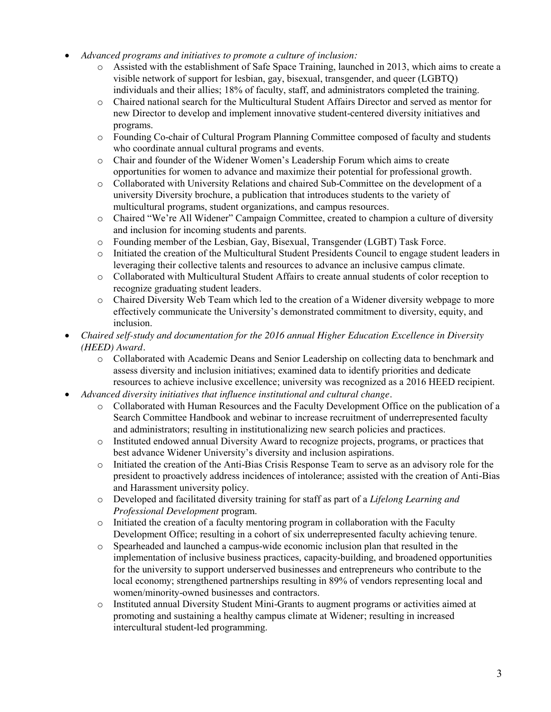- x *Advanced programs and initiatives to promote a culture of inclusion:* 
	- o Assisted with the establishment of Safe Space Training, launched in 2013, which aims to create a visible network of support for lesbian, gay, bisexual, transgender, and queer (LGBTQ) individuals and their allies; 18% of faculty, staff, and administrators completed the training.
	- o Chaired national search for the Multicultural Student Affairs Director and served as mentor for new Director to develop and implement innovative student-centered diversity initiatives and programs.
	- o Founding Co-chair of Cultural Program Planning Committee composed of faculty and students who coordinate annual cultural programs and events.
	- o Chair and founder of the Widener Women's Leadership Forum which aims to create opportunities for women to advance and maximize their potential for professional growth.
	- o Collaborated with University Relations and chaired Sub-Committee on the development of a university Diversity brochure, a publication that introduces students to the variety of multicultural programs, student organizations, and campus resources.
	- o Chaired "We're All Widener" Campaign Committee, created to champion a culture of diversity and inclusion for incoming students and parents.
	- o Founding member of the Lesbian, Gay, Bisexual, Transgender (LGBT) Task Force.
	- o Initiated the creation of the Multicultural Student Presidents Council to engage student leaders in leveraging their collective talents and resources to advance an inclusive campus climate.
	- o Collaborated with Multicultural Student Affairs to create annual students of color reception to recognize graduating student leaders.
	- o Chaired Diversity Web Team which led to the creation of a Widener diversity webpage to more effectively communicate the University's demonstrated commitment to diversity, equity, and inclusion.
- x *Chaired self-study and documentation for the 2016 annual Higher Education Excellence in Diversity (HEED) Award.*
	- o Collaborated with Academic Deans and Senior Leadership on collecting data to benchmark and assess diversity and inclusion initiatives; examined data to identify priorities and dedicate resources to achieve inclusive excellence; university was recognized as a 2016 HEED recipient.
- x *Advanced diversity initiatives that influence institutional and cultural change*.
	- o Collaborated with Human Resources and the Faculty Development Office on the publication of a Search Committee Handbook and webinar to increase recruitment of underrepresented faculty and administrators; resulting in institutionalizing new search policies and practices.
	- o Instituted endowed annual Diversity Award to recognize projects, programs, or practices that best advance Widener University's diversity and inclusion aspirations.
	- o Initiated the creation of the Anti-Bias Crisis Response Team to serve as an advisory role for the president to proactively address incidences of intolerance; assisted with the creation of Anti-Bias and Harassment university policy.
	- o Developed and facilitated diversity training for staff as part of a *Lifelong Learning and Professional Development* program.
	- o Initiated the creation of a faculty mentoring program in collaboration with the Faculty Development Office; resulting in a cohort of six underrepresented faculty achieving tenure.
	- o Spearheaded and launched a campus-wide economic inclusion plan that resulted in the implementation of inclusive business practices, capacity-building, and broadened opportunities for the university to support underserved businesses and entrepreneurs who contribute to the local economy; strengthened partnerships resulting in 89% of vendors representing local and women/minority-owned businesses and contractors.
	- o Instituted annual Diversity Student Mini-Grants to augment programs or activities aimed at promoting and sustaining a healthy campus climate at Widener; resulting in increased intercultural student-led programming.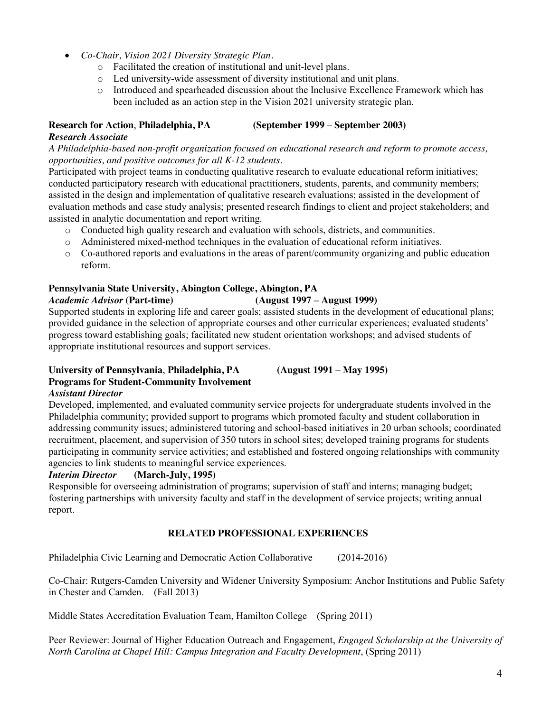- x *Co-Chair, Vision 2021 Diversity Strategic Plan.*
	- o Facilitated the creation of institutional and unit-level plans.
	- o Led university-wide assessment of diversity institutional and unit plans.
	- o Introduced and spearheaded discussion about the Inclusive Excellence Framework which has been included as an action step in the Vision 2021 university strategic plan.

## **Research for Action**, **Philadelphia, PA (September 1999 – September 2003)**

#### *Research Associate*

*A Philadelphia-based non-profit organization focused on educational research and reform to promote access, opportunities, and positive outcomes for all K-12 students.*

Participated with project teams in conducting qualitative research to evaluate educational reform initiatives; conducted participatory research with educational practitioners, students, parents, and community members; assisted in the design and implementation of qualitative research evaluations; assisted in the development of evaluation methods and case study analysis; presented research findings to client and project stakeholders; and assisted in analytic documentation and report writing.

- o Conducted high quality research and evaluation with schools, districts, and communities.
- o Administered mixed-method techniques in the evaluation of educational reform initiatives.
- o Co-authored reports and evaluations in the areas of parent/community organizing and public education reform.

#### **Pennsylvania State University, Abington College, Abington, PA**

#### *Academic Advisor* **(Part-time) (August 1997 – August 1999)**

Supported students in exploring life and career goals; assisted students in the development of educational plans; provided guidance in the selection of appropriate courses and other curricular experiences; evaluated students' progress toward establishing goals; facilitated new student orientation workshops; and advised students of appropriate institutional resources and support services.

#### **University of Pennsylvania**, **Philadelphia, PA (August 1991 – May 1995) Programs for Student-Community Involvement** *Assistant Director*

Developed, implemented, and evaluated community service projects for undergraduate students involved in the Philadelphia community; provided support to programs which promoted faculty and student collaboration in addressing community issues; administered tutoring and school-based initiatives in 20 urban schools; coordinated recruitment, placement, and supervision of 350 tutors in school sites; developed training programs for students participating in community service activities; and established and fostered ongoing relationships with community agencies to link students to meaningful service experiences.

#### *Interim Director* **(March-July, 1995)**

Responsible for overseeing administration of programs; supervision of staff and interns; managing budget; fostering partnerships with university faculty and staff in the development of service projects; writing annual report.

### **RELATED PROFESSIONAL EXPERIENCES**

Philadelphia Civic Learning and Democratic Action Collaborative (2014-2016)

Co-Chair: Rutgers-Camden University and Widener University Symposium: Anchor Institutions and Public Safety in Chester and Camden. (Fall 2013)

Middle States Accreditation Evaluation Team, Hamilton College (Spring 2011)

Peer Reviewer: Journal of Higher Education Outreach and Engagement, *Engaged Scholarship at the University of North Carolina at Chapel Hill: Campus Integration and Faculty Development*, (Spring 2011)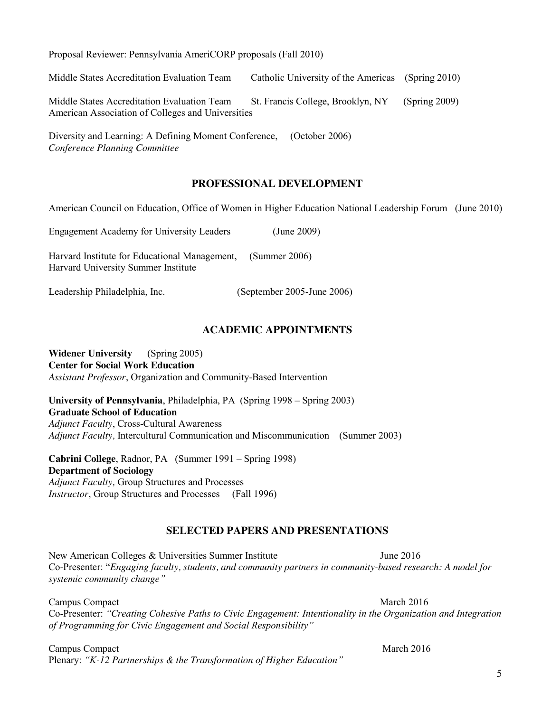American Council on Education, Office of Women in Higher Education National Leadership Forum (June 2010) Engagement Academy for University Leaders (June 2009) Harvard Institute for Educational Management, (Summer 2006) Harvard University Summer Institute

Leadership Philadelphia, Inc. (September 2005-June 2006)

#### **ACADEMIC APPOINTMENTS**

**Widener University** (Spring 2005) **Center for Social Work Education** *Assistant Professor*, Organization and Community-Based Intervention

**University of Pennsylvania**, Philadelphia, PA (Spring 1998 – Spring 2003) **Graduate School of Education** *Adjunct Faculty*, Cross-Cultural Awareness *Adjunct Faculty,* Intercultural Communication and Miscommunication (Summer 2003)

**Cabrini College**, Radnor, PA (Summer 1991 – Spring 1998) **Department of Sociology** *Adjunct Faculty,* Group Structures and Processes *Instructor*, Group Structures and Processes (Fall 1996)

#### **SELECTED PAPERS AND PRESENTATIONS**

New American Colleges & Universities Summer Institute June 2016 Co-Presenter: "*Engaging faculty, students, and community partners in community-based research: A model for systemic community change"*

Campus Compact March 2016 Co-Presenter: *"Creating Cohesive Paths to Civic Engagement: Intentionality in the Organization and Integration of Programming for Civic Engagement and Social Responsibility"*

Campus Compact March 2016 Plenary: *"K-12 Partnerships & the Transformation of Higher Education"* 

Middle States Accreditation Evaluation Team Catholic University of the Americas (Spring 2010)

Middle States Accreditation Evaluation Team St. Francis College, Brooklyn, NY (Spring 2009) American Association of Colleges and Universities

Diversity and Learning: A Defining Moment Conference, (October 2006) *Conference Planning Committee* 

Proposal Reviewer: Pennsylvania AmeriCORP proposals (Fall 2010)

## **PROFESSIONAL DEVELOPMENT**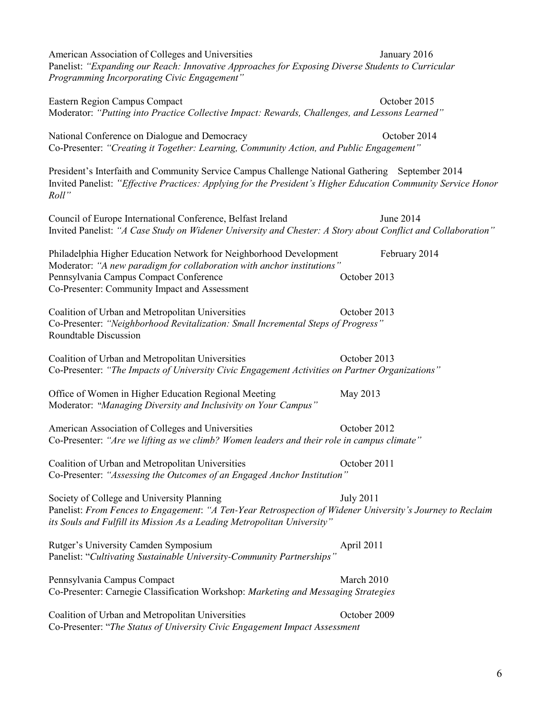| American Association of Colleges and Universities<br>Panelist: "Expanding our Reach: Innovative Approaches for Exposing Diverse Students to Curricular<br>Programming Incorporating Civic Engagement"                                   |                  | January 2016  |
|-----------------------------------------------------------------------------------------------------------------------------------------------------------------------------------------------------------------------------------------|------------------|---------------|
| Eastern Region Campus Compact<br>Moderator: "Putting into Practice Collective Impact: Rewards, Challenges, and Lessons Learned"                                                                                                         |                  | October 2015  |
| National Conference on Dialogue and Democracy<br>Co-Presenter: "Creating it Together: Learning, Community Action, and Public Engagement"                                                                                                |                  | October 2014  |
| President's Interfaith and Community Service Campus Challenge National Gathering September 2014<br>Invited Panelist: "Effective Practices: Applying for the President's Higher Education Community Service Honor<br>Roll"               |                  |               |
| Council of Europe International Conference, Belfast Ireland<br>Invited Panelist: "A Case Study on Widener University and Chester: A Story about Conflict and Collaboration"                                                             |                  | June 2014     |
| Philadelphia Higher Education Network for Neighborhood Development<br>Moderator: "A new paradigm for collaboration with anchor institutions"<br>Pennsylvania Campus Compact Conference<br>Co-Presenter: Community Impact and Assessment | October 2013     | February 2014 |
| Coalition of Urban and Metropolitan Universities<br>Co-Presenter: "Neighborhood Revitalization: Small Incremental Steps of Progress"<br>Roundtable Discussion                                                                           | October 2013     |               |
| Coalition of Urban and Metropolitan Universities<br>Co-Presenter: "The Impacts of University Civic Engagement Activities on Partner Organizations"                                                                                      | October 2013     |               |
| Office of Women in Higher Education Regional Meeting<br>Moderator: "Managing Diversity and Inclusivity on Your Campus"                                                                                                                  | May 2013         |               |
| American Association of Colleges and Universities<br>Co-Presenter: "Are we lifting as we climb? Women leaders and their role in campus climate"                                                                                         | October 2012     |               |
| Coalition of Urban and Metropolitan Universities<br>Co-Presenter: "Assessing the Outcomes of an Engaged Anchor Institution"                                                                                                             | October 2011     |               |
| Society of College and University Planning<br>Panelist: From Fences to Engagement: "A Ten-Year Retrospection of Widener University's Journey to Reclaim<br>its Souls and Fulfill its Mission As a Leading Metropolitan University"      | <b>July 2011</b> |               |
| Rutger's University Camden Symposium<br>Panelist: "Cultivating Sustainable University-Community Partnerships"                                                                                                                           | April 2011       |               |
| Pennsylvania Campus Compact<br>Co-Presenter: Carnegie Classification Workshop: Marketing and Messaging Strategies                                                                                                                       | March 2010       |               |
| Coalition of Urban and Metropolitan Universities                                                                                                                                                                                        | October 2009     |               |

Co-Presenter: "*The Status of University Civic Engagement Impact Assessment*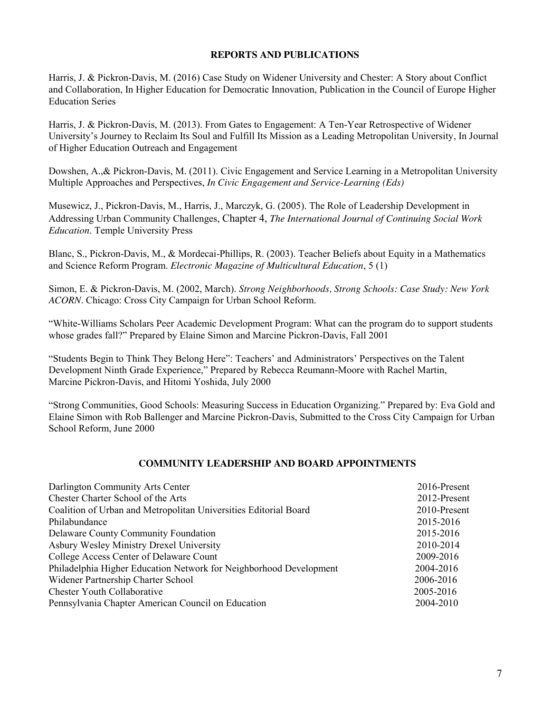#### **REPORTS AND PUBLICATIONS**

Harris, J. & Pickron-Davis, M. (2016) Case Study on Widener University and Chester: A Story about Conflict and Collaboration, In Higher Education for Democratic Innovation, Publication in the Council of Europe Higher Education Series

Harris, J. & Pickron-Davis, M. (2013). From Gates to Engagement: A Ten-Year Retrospective of Widener University's Journey to Reclaim Its Soul and Fulfill Its Mission as a Leading Metropolitan University, In Journal of Higher Education Outreach and Engagement

Dowshen, A.,& Pickron-Davis, M. (2011). Civic Engagement and Service Learning in a Metropolitan University Multiple Approaches and Perspectives, *In Civic Engagement and Service-Learning (Eds)*

Musewicz, J., Pickron-Davis, M., Harris, J., Marczyk, G. (2005). The Role of Leadership Development in Addressing Urban Community Challenges, Chapter 4, *The International Journal of Continuing Social Work Education*. Temple University Press

Blanc, S., Pickron-Davis, M., & Mordecai-Phillips, R. (2003). Teacher Beliefs about Equity in a Mathematics and Science Reform Program. *Electronic Magazine of Multicultural Education*, 5 (1)

Simon, E. & Pickron-Davis, M. (2002, March). *Strong Neighborhoods, Strong Schools: Case Study: New York ACORN*. Chicago: Cross City Campaign for Urban School Reform.

"White-Williams Scholars Peer Academic Development Program: What can the program do to support students whose grades fall?" Prepared by Elaine Simon and Marcine Pickron-Davis, Fall 2001

"Students Begin to Think They Belong Here": Teachers' and Administrators' Perspectives on the Talent Development Ninth Grade Experience," Prepared by Rebecca Reumann-Moore with Rachel Martin, Marcine Pickron-Davis, and Hitomi Yoshida, July 2000

"Strong Communities, Good Schools: Measuring Success in Education Organizing." Prepared by: Eva Gold and Elaine Simon with Rob Ballenger and Marcine Pickron-Davis, Submitted to the Cross City Campaign for Urban School Reform, June 2000

#### **COMMUNITY LEADERSHIP AND BOARD APPOINTMENTS**

| Darlington Community Arts Center                                   | 2016-Present |
|--------------------------------------------------------------------|--------------|
| Chester Charter School of the Arts                                 | 2012-Present |
| Coalition of Urban and Metropolitan Universities Editorial Board   | 2010-Present |
| Philabundance                                                      | 2015-2016    |
| Delaware County Community Foundation                               | 2015-2016    |
| Asbury Wesley Ministry Drexel University                           | 2010-2014    |
| College Access Center of Delaware Count                            | 2009-2016    |
| Philadelphia Higher Education Network for Neighborhood Development | 2004-2016    |
| Widener Partnership Charter School                                 | 2006-2016    |
| <b>Chester Youth Collaborative</b>                                 | 2005-2016    |
| Pennsylvania Chapter American Council on Education                 | 2004-2010    |
|                                                                    |              |